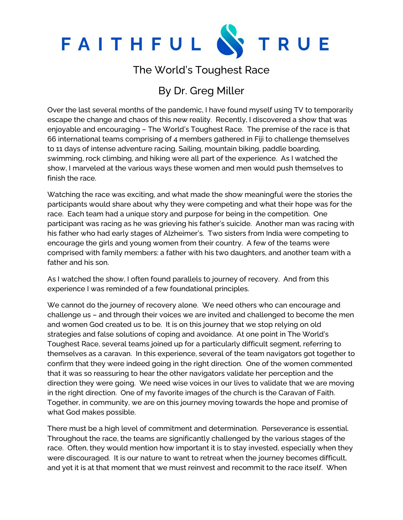

## The World's Toughest Race

## By Dr. Greg Miller

Over the last several months of the pandemic, I have found myself using TV to temporarily escape the change and chaos of this new reality. Recently, I discovered a show that was enjoyable and encouraging – The World's Toughest Race. The premise of the race is that 66 international teams comprising of 4 members gathered in Fiji to challenge themselves to 11 days of intense adventure racing. Sailing, mountain biking, paddle boarding, swimming, rock climbing, and hiking were all part of the experience. As I watched the show, I marveled at the various ways these women and men would push themselves to finish the race.

Watching the race was exciting, and what made the show meaningful were the stories the participants would share about why they were competing and what their hope was for the race. Each team had a unique story and purpose for being in the competition. One participant was racing as he was grieving his father's suicide. Another man was racing with his father who had early stages of Alzheimer's. Two sisters from India were competing to encourage the girls and young women from their country. A few of the teams were comprised with family members: a father with his two daughters, and another team with a father and his son.

As I watched the show, I often found parallels to journey of recovery. And from this experience I was reminded of a few foundational principles.

We cannot do the journey of recovery alone. We need others who can encourage and challenge us – and through their voices we are invited and challenged to become the men and women God created us to be. It is on this journey that we stop relying on old strategies and false solutions of coping and avoidance. At one point in The World's Toughest Race, several teams joined up for a particularly difficult segment, referring to themselves as a caravan. In this experience, several of the team navigators got together to confirm that they were indeed going in the right direction. One of the women commented that it was so reassuring to hear the other navigators validate her perception and the direction they were going. We need wise voices in our lives to validate that we are moving in the right direction. One of my favorite images of the church is the Caravan of Faith. Together, in community, we are on this journey moving towards the hope and promise of what God makes possible.

There must be a high level of commitment and determination. Perseverance is essential. Throughout the race, the teams are significantly challenged by the various stages of the race. Often, they would mention how important it is to stay invested, especially when they were discouraged. It is our nature to want to retreat when the journey becomes difficult, and yet it is at that moment that we must reinvest and recommit to the race itself. When